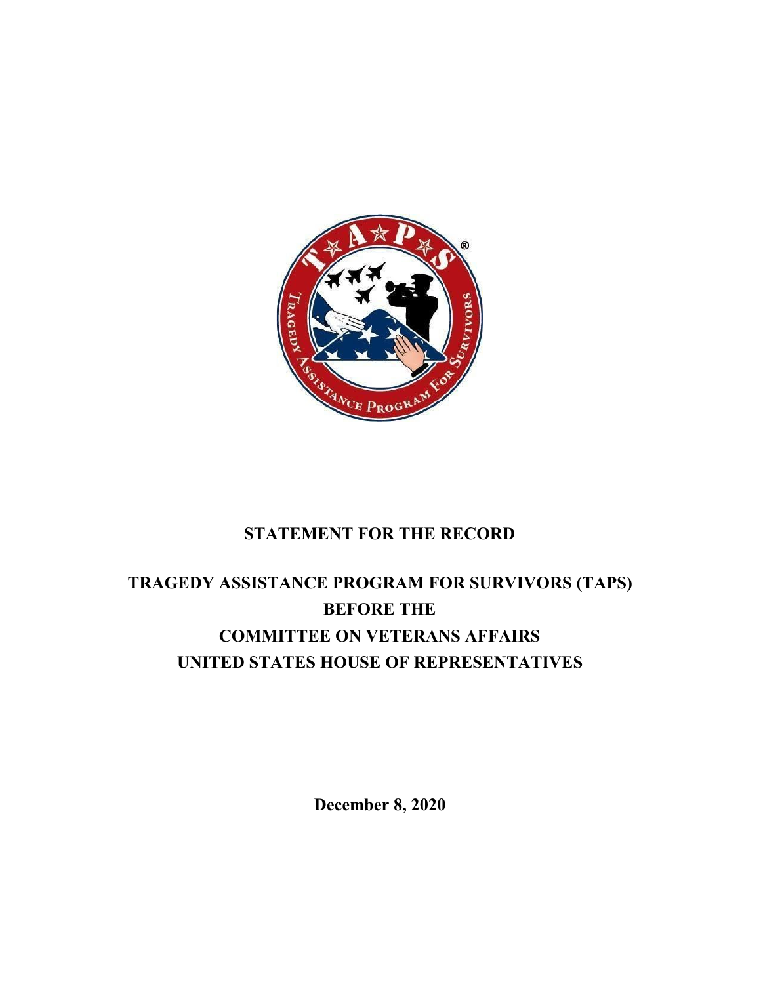

# **STATEMENT FOR THE RECORD**

# **TRAGEDY ASSISTANCE PROGRAM FOR SURVIVORS (TAPS) BEFORE THE COMMITTEE ON VETERANS AFFAIRS UNITED STATES HOUSE OF REPRESENTATIVES**

**December 8, 2020**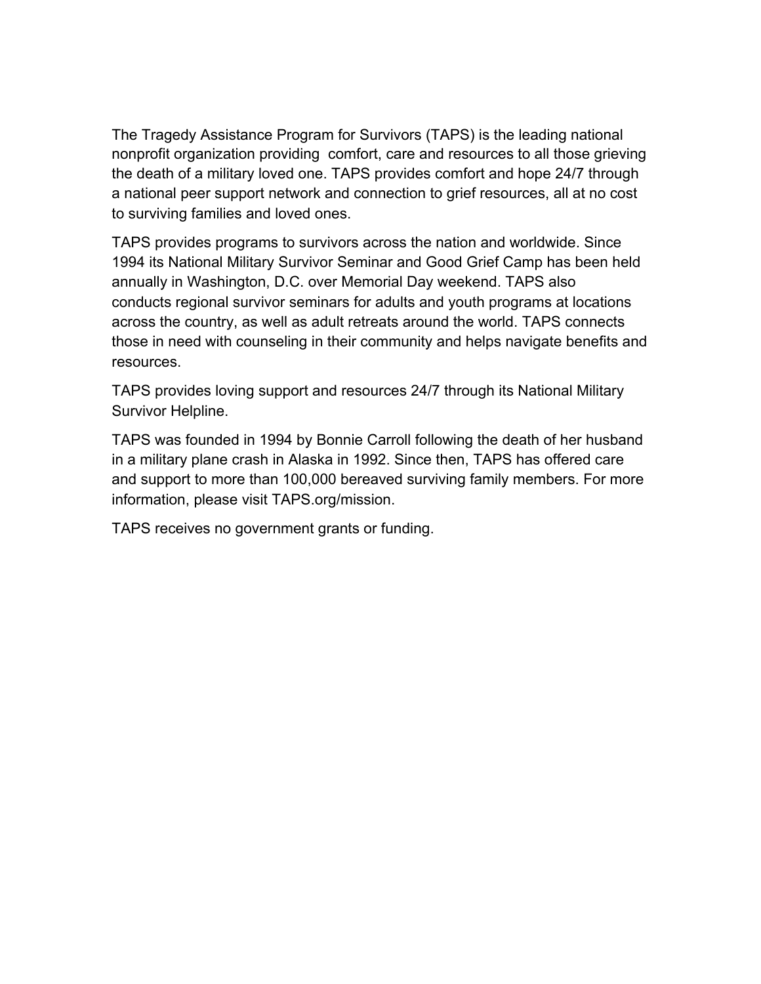The Tragedy Assistance Program for Survivors (TAPS) is the leading national nonprofit organization providing comfort, care and resources to all those grieving the death of a military loved one. TAPS provides comfort and hope 24/7 through a national peer support network and connection to grief resources, all at no cost to surviving families and loved ones.

TAPS provides programs to survivors across the nation and worldwide. Since 1994 its National Military Survivor Seminar and Good Grief Camp has been held annually in Washington, D.C. over Memorial Day weekend. TAPS also conducts [regional survivor seminars for adults](https://www.taps.org/programs/survivor-seminars/) and [youth programs](https://www.taps.org/programs/youth-programs/) at locations across the country, as well as adult [retreats](https://www.taps.org/programs/programs-retreats/) around the world. TAPS connects those in need with [counseling in their community](https://www.taps.org/resources/grief-counseling/) and helps [navigate benefits and](https://www.taps.org/resources/programs-casework/) [resources](https://www.taps.org/resources/programs-casework/).

[TAPS provides loving support and resources 24/7 through its National Military](https://www.taps.org/connect/survivor-helpline/) [Survivor Helpline.](https://www.taps.org/connect/survivor-helpline/)

TAPS was founded in 1994 by Bonnie Carroll following the death of her husband in a military plane crash in Alaska in 1992. Since then, TAPS has offered care and support to more than 100,000 bereaved surviving family members. For more information, please visit TAPS.org/mission.

TAPS receives no government grants or funding.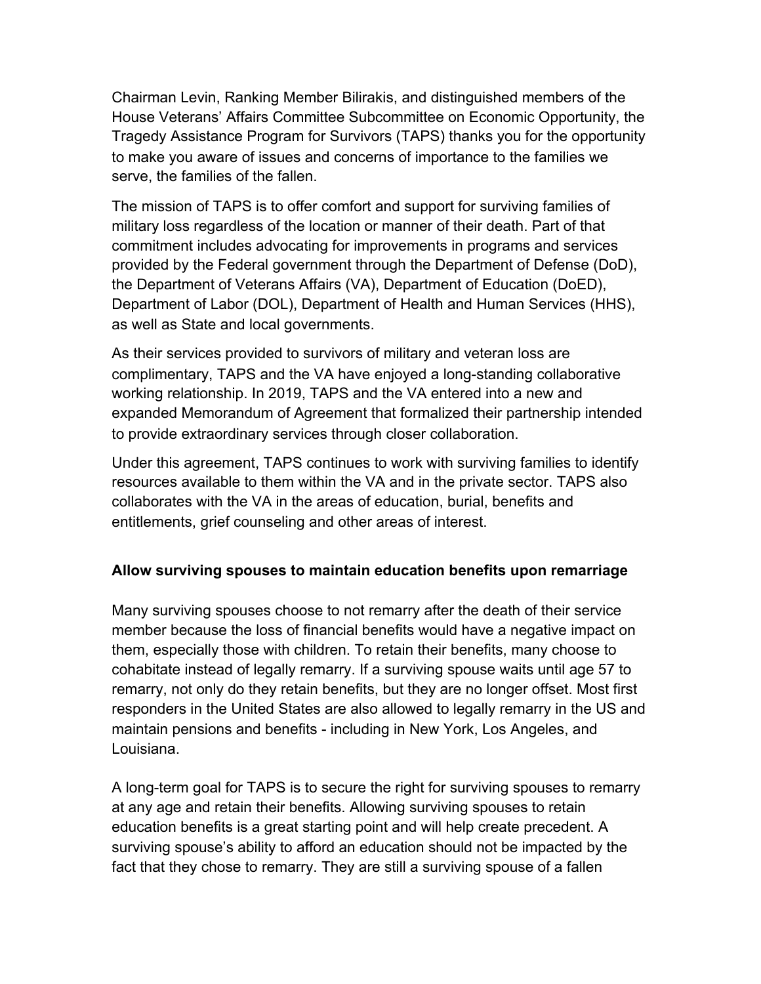Chairman Levin, Ranking Member Bilirakis, and distinguished members of the House Veterans' Affairs Committee Subcommittee on Economic Opportunity, the Tragedy Assistance Program for Survivors (TAPS) thanks you for the opportunity to make you aware of issues and concerns of importance to the families we serve, the families of the fallen.

The mission of TAPS is to offer comfort and support for surviving families of military loss regardless of the location or manner of their death. Part of that commitment includes advocating for improvements in programs and services provided by the Federal government through the Department of Defense (DoD), the Department of Veterans Affairs (VA), Department of Education (DoED), Department of Labor (DOL), Department of Health and Human Services (HHS), as well as State and local governments.

As their services provided to survivors of military and veteran loss are complimentary, TAPS and the VA have enjoyed a long-standing collaborative working relationship. In 2019, TAPS and the VA entered into a new and expanded Memorandum of Agreement that formalized their partnership intended to provide extraordinary services through closer collaboration.

Under this agreement, TAPS continues to work with surviving families to identify resources available to them within the VA and in the private sector. TAPS also collaborates with the VA in the areas of education, burial, benefits and entitlements, grief counseling and other areas of interest.

#### **Allow surviving spouses to maintain education benefits upon remarriage**

Many surviving spouses choose to not remarry after the death of their service member because the loss of financial benefits would have a negative impact on them, especially those with children. To retain their benefits, many choose to cohabitate instead of legally remarry. If a surviving spouse waits until age 57 to remarry, not only do they retain benefits, but they are no longer offset. Most first responders in the United States are also allowed to legally remarry in the US and maintain pensions and benefits - including in New York, Los Angeles, and Louisiana.

A long-term goal for TAPS is to secure the right for surviving spouses to remarry at any age and retain their benefits. Allowing surviving spouses to retain education benefits is a great starting point and will help create precedent. A surviving spouse's ability to afford an education should not be impacted by the fact that they chose to remarry. They are still a surviving spouse of a fallen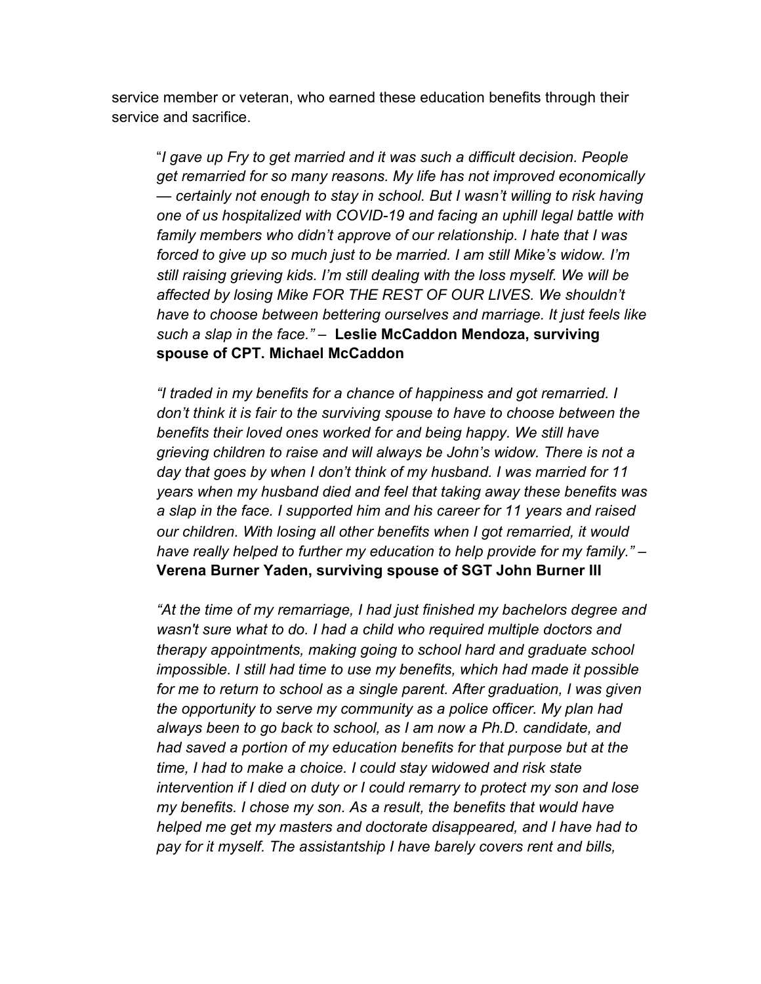service member or veteran, who earned these education benefits through their service and sacrifice.

"*I gave up Fry to get married and it was such a difficult decision. People get remarried for so many reasons. My life has not improved economically — certainly not enough to stay in school. But I wasn't willing to risk having one of us hospitalized with COVID-19 and facing an uphill legal battle with family members who didn't approve of our relationship. I hate that I was forced to give up so much just to be married. I am still Mike's widow. I'm still raising grieving kids. I'm still dealing with the loss myself. We will be affected by losing Mike FOR THE REST OF OUR LIVES. We shouldn't have to choose between bettering ourselves and marriage. It just feels like such a slap in the face." –* **Leslie McCaddon Mendoza, surviving spouse of CPT. Michael McCaddon**

*"I traded in my benefits for a chance of happiness and got remarried. I don't think it is fair to the surviving spouse to have to choose between the benefits their loved ones worked for and being happy. We still have grieving children to raise and will always be John's widow. There is not a day that goes by when I don't think of my husband. I was married for 11 years when my husband died and feel that taking away these benefits was a slap in the face. I supported him and his career for 11 years and raised our children. With losing all other benefits when I got remarried, it would have really helped to further my education to help provide for my family." –* **Verena Burner Yaden, surviving spouse of SGT John Burner III**

*"At the time of my remarriage, I had just finished my bachelors degree and wasn't sure what to do. I had a child who required multiple doctors and therapy appointments, making going to school hard and graduate school impossible. I still had time to use my benefits, which had made it possible for me to return to school as a single parent. After graduation, I was given the opportunity to serve my community as a police officer. My plan had always been to go back to school, as I am now a Ph.D. candidate, and had saved a portion of my education benefits for that purpose but at the time, I had to make a choice. I could stay widowed and risk state intervention if I died on duty or I could remarry to protect my son and lose my benefits. I chose my son. As a result, the benefits that would have helped me get my masters and doctorate disappeared, and I have had to pay for it myself. The assistantship I have barely covers rent and bills,*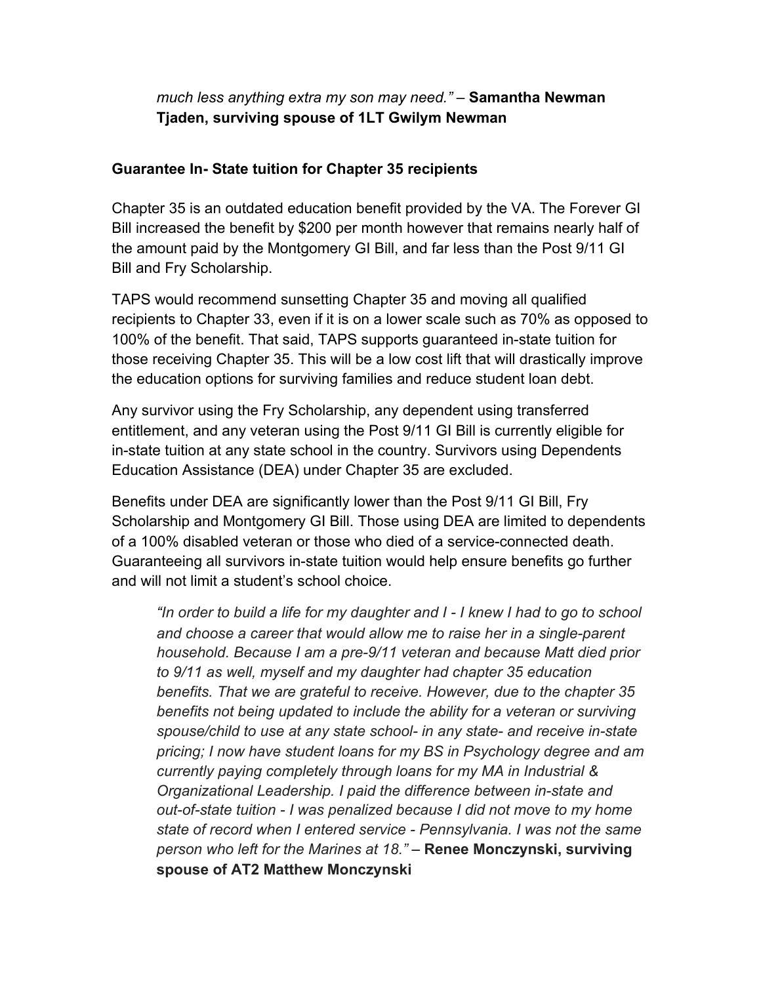## *much less anything extra my son may need." –* **Samantha Newman Tjaden, surviving spouse of 1LT Gwilym Newman**

### **Guarantee In- State tuition for Chapter 35 recipients**

Chapter 35 is an outdated education benefit provided by the VA. The Forever GI Bill increased the benefit by \$200 per month however that remains nearly half of the amount paid by the Montgomery GI Bill, and far less than the Post 9/11 GI Bill and Fry Scholarship.

TAPS would recommend sunsetting Chapter 35 and moving all qualified recipients to Chapter 33, even if it is on a lower scale such as 70% as opposed to 100% of the benefit. That said, TAPS supports guaranteed in-state tuition for those receiving Chapter 35. This will be a low cost lift that will drastically improve the education options for surviving families and reduce student loan debt.

Any survivor using the Fry Scholarship, any dependent using transferred entitlement, and any veteran using the Post 9/11 GI Bill is currently eligible for in-state tuition at any state school in the country. Survivors using Dependents Education Assistance (DEA) under Chapter 35 are excluded.

Benefits under DEA are significantly lower than the Post 9/11 GI Bill, Fry Scholarship and Montgomery GI Bill. Those using DEA are limited to dependents of a 100% disabled veteran or those who died of a service-connected death. Guaranteeing all survivors in-state tuition would help ensure benefits go further and will not limit a student's school choice.

*"In order to build a life for my daughter and I - I knew I had to go to school and choose a career that would allow me to raise her in a single-parent household. Because I am a pre-9/11 veteran and because Matt died prior to 9/11 as well, myself and my daughter had chapter 35 education benefits. That we are grateful to receive. However, due to the chapter 35 benefits not being updated to include the ability for a veteran or surviving spouse/child to use at any state school- in any state- and receive in-state pricing; I now have student loans for my BS in Psychology degree and am currently paying completely through loans for my MA in Industrial & Organizational Leadership. I paid the difference between in-state and out-of-state tuition - I was penalized because I did not move to my home state of record when I entered service - Pennsylvania. I was not the same person who left for the Marines at 18." –* **Renee Monczynski, surviving spouse of AT2 Matthew Monczynski**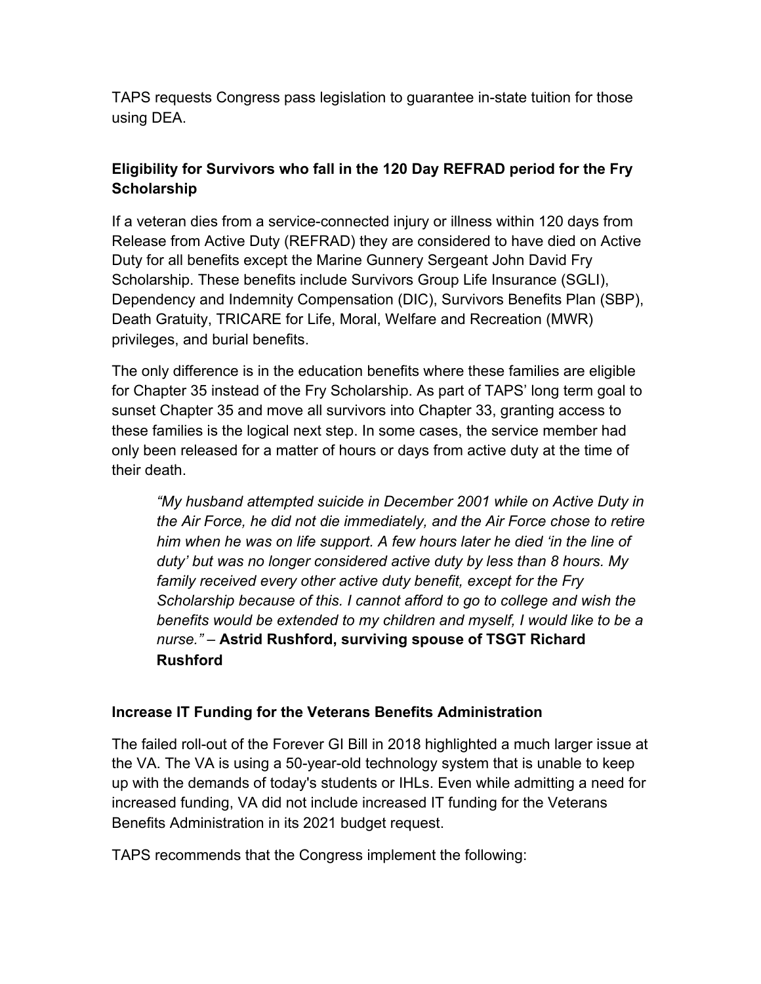TAPS requests Congress pass legislation to guarantee in-state tuition for those using DEA.

# **Eligibility for Survivors who fall in the 120 Day REFRAD period for the Fry Scholarship**

If a veteran dies from a service-connected injury or illness within 120 days from Release from Active Duty (REFRAD) they are considered to have died on Active Duty for all benefits except the Marine Gunnery Sergeant John David Fry Scholarship. These benefits include Survivors Group Life Insurance (SGLI), Dependency and Indemnity Compensation (DIC), Survivors Benefits Plan (SBP), Death Gratuity, TRICARE for Life, Moral, Welfare and Recreation (MWR) privileges, and burial benefits.

The only difference is in the education benefits where these families are eligible for Chapter 35 instead of the Fry Scholarship. As part of TAPS' long term goal to sunset Chapter 35 and move all survivors into Chapter 33, granting access to these families is the logical next step. In some cases, the service member had only been released for a matter of hours or days from active duty at the time of their death.

*"My husband attempted suicide in December 2001 while on Active Duty in the Air Force, he did not die immediately, and the Air Force chose to retire him when he was on life support. A few hours later he died 'in the line of duty' but was no longer considered active duty by less than 8 hours. My family received every other active duty benefit, except for the Fry Scholarship because of this. I cannot afford to go to college and wish the benefits would be extended to my children and myself, I would like to be a nurse." –* **Astrid Rushford, surviving spouse of TSGT Richard Rushford**

#### **Increase IT Funding for the Veterans Benefits Administration**

The failed roll-out of the Forever GI Bill in 2018 highlighted a much larger issue at the VA. The VA is using a 50-year-old technology system that is unable to keep up with the demands of today's students or IHLs. Even while admitting a need for increased funding, VA did not include increased IT funding for the Veterans Benefits Administration in its 2021 budget request.

TAPS recommends that the Congress implement the following: